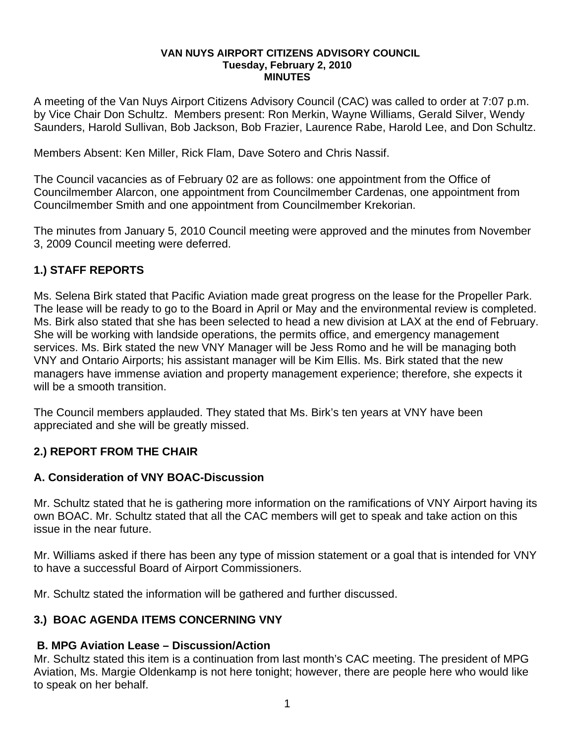#### **VAN NUYS AIRPORT CITIZENS ADVISORY COUNCIL Tuesday, February 2, 2010 MINUTES**

A meeting of the Van Nuys Airport Citizens Advisory Council (CAC) was called to order at 7:07 p.m. by Vice Chair Don Schultz. Members present: Ron Merkin, Wayne Williams, Gerald Silver, Wendy Saunders, Harold Sullivan, Bob Jackson, Bob Frazier, Laurence Rabe, Harold Lee, and Don Schultz.

Members Absent: Ken Miller, Rick Flam, Dave Sotero and Chris Nassif.

The Council vacancies as of February 02 are as follows: one appointment from the Office of Councilmember Alarcon, one appointment from Councilmember Cardenas, one appointment from Councilmember Smith and one appointment from Councilmember Krekorian.

The minutes from January 5, 2010 Council meeting were approved and the minutes from November 3, 2009 Council meeting were deferred.

# **1.) STAFF REPORTS**

Ms. Selena Birk stated that Pacific Aviation made great progress on the lease for the Propeller Park. The lease will be ready to go to the Board in April or May and the environmental review is completed. Ms. Birk also stated that she has been selected to head a new division at LAX at the end of February. She will be working with landside operations, the permits office, and emergency management services. Ms. Birk stated the new VNY Manager will be Jess Romo and he will be managing both VNY and Ontario Airports; his assistant manager will be Kim Ellis. Ms. Birk stated that the new managers have immense aviation and property management experience; therefore, she expects it will be a smooth transition.

The Council members applauded. They stated that Ms. Birk's ten years at VNY have been appreciated and she will be greatly missed.

# **2.) REPORT FROM THE CHAIR**

# **A. Consideration of VNY BOAC-Discussion**

Mr. Schultz stated that he is gathering more information on the ramifications of VNY Airport having its own BOAC. Mr. Schultz stated that all the CAC members will get to speak and take action on this issue in the near future.

Mr. Williams asked if there has been any type of mission statement or a goal that is intended for VNY to have a successful Board of Airport Commissioners.

Mr. Schultz stated the information will be gathered and further discussed.

# **3.) BOAC AGENDA ITEMS CONCERNING VNY**

# **B. MPG Aviation Lease – Discussion/Action**

Mr. Schultz stated this item is a continuation from last month's CAC meeting. The president of MPG Aviation, Ms. Margie Oldenkamp is not here tonight; however, there are people here who would like to speak on her behalf.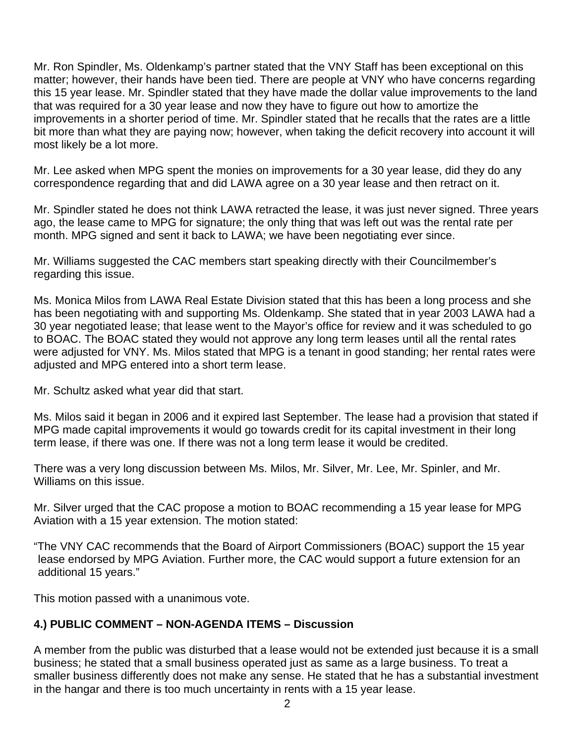Mr. Ron Spindler, Ms. Oldenkamp's partner stated that the VNY Staff has been exceptional on this matter; however, their hands have been tied. There are people at VNY who have concerns regarding this 15 year lease. Mr. Spindler stated that they have made the dollar value improvements to the land that was required for a 30 year lease and now they have to figure out how to amortize the improvements in a shorter period of time. Mr. Spindler stated that he recalls that the rates are a little bit more than what they are paying now; however, when taking the deficit recovery into account it will most likely be a lot more.

Mr. Lee asked when MPG spent the monies on improvements for a 30 year lease, did they do any correspondence regarding that and did LAWA agree on a 30 year lease and then retract on it.

Mr. Spindler stated he does not think LAWA retracted the lease, it was just never signed. Three years ago, the lease came to MPG for signature; the only thing that was left out was the rental rate per month. MPG signed and sent it back to LAWA; we have been negotiating ever since.

Mr. Williams suggested the CAC members start speaking directly with their Councilmember's regarding this issue.

Ms. Monica Milos from LAWA Real Estate Division stated that this has been a long process and she has been negotiating with and supporting Ms. Oldenkamp. She stated that in year 2003 LAWA had a 30 year negotiated lease; that lease went to the Mayor's office for review and it was scheduled to go to BOAC. The BOAC stated they would not approve any long term leases until all the rental rates were adjusted for VNY. Ms. Milos stated that MPG is a tenant in good standing; her rental rates were adjusted and MPG entered into a short term lease.

Mr. Schultz asked what year did that start.

Ms. Milos said it began in 2006 and it expired last September. The lease had a provision that stated if MPG made capital improvements it would go towards credit for its capital investment in their long term lease, if there was one. If there was not a long term lease it would be credited.

There was a very long discussion between Ms. Milos, Mr. Silver, Mr. Lee, Mr. Spinler, and Mr. Williams on this issue.

Mr. Silver urged that the CAC propose a motion to BOAC recommending a 15 year lease for MPG Aviation with a 15 year extension. The motion stated:

"The VNY CAC recommends that the Board of Airport Commissioners (BOAC) support the 15 year lease endorsed by MPG Aviation. Further more, the CAC would support a future extension for an additional 15 years."

This motion passed with a unanimous vote.

# **4.) PUBLIC COMMENT – NON-AGENDA ITEMS – Discussion**

A member from the public was disturbed that a lease would not be extended just because it is a small business; he stated that a small business operated just as same as a large business. To treat a smaller business differently does not make any sense. He stated that he has a substantial investment in the hangar and there is too much uncertainty in rents with a 15 year lease.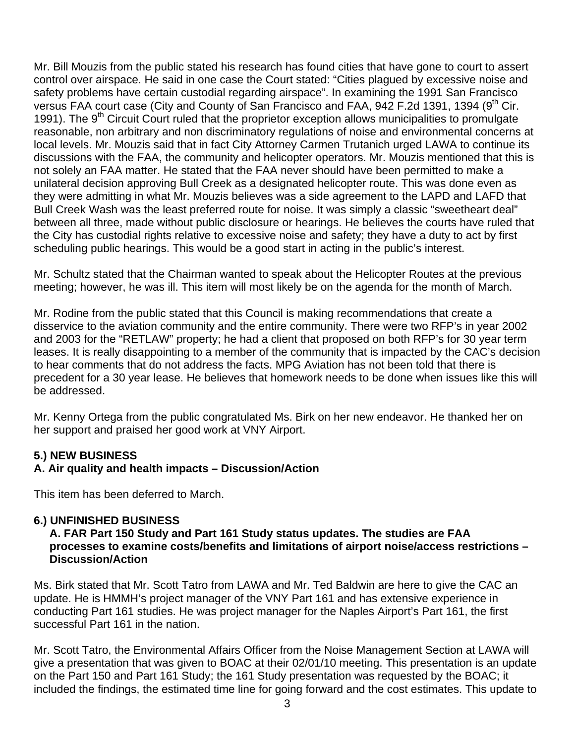Mr. Bill Mouzis from the public stated his research has found cities that have gone to court to assert control over airspace. He said in one case the Court stated: "Cities plagued by excessive noise and safety problems have certain custodial regarding airspace". In examining the 1991 San Francisco versus FAA court case (City and County of San Francisco and FAA, 942 F.2d 1391, 1394 (9<sup>th</sup> Cir. 1991). The 9<sup>th</sup> Circuit Court ruled that the proprietor exception allows municipalities to promulgate reasonable, non arbitrary and non discriminatory regulations of noise and environmental concerns at local levels. Mr. Mouzis said that in fact City Attorney Carmen Trutanich urged LAWA to continue its discussions with the FAA, the community and helicopter operators. Mr. Mouzis mentioned that this is not solely an FAA matter. He stated that the FAA never should have been permitted to make a unilateral decision approving Bull Creek as a designated helicopter route. This was done even as they were admitting in what Mr. Mouzis believes was a side agreement to the LAPD and LAFD that Bull Creek Wash was the least preferred route for noise. It was simply a classic "sweetheart deal" between all three, made without public disclosure or hearings. He believes the courts have ruled that the City has custodial rights relative to excessive noise and safety; they have a duty to act by first scheduling public hearings. This would be a good start in acting in the public's interest.

Mr. Schultz stated that the Chairman wanted to speak about the Helicopter Routes at the previous meeting; however, he was ill. This item will most likely be on the agenda for the month of March.

Mr. Rodine from the public stated that this Council is making recommendations that create a disservice to the aviation community and the entire community. There were two RFP's in year 2002 and 2003 for the "RETLAW" property; he had a client that proposed on both RFP's for 30 year term leases. It is really disappointing to a member of the community that is impacted by the CAC's decision to hear comments that do not address the facts. MPG Aviation has not been told that there is precedent for a 30 year lease. He believes that homework needs to be done when issues like this will be addressed.

Mr. Kenny Ortega from the public congratulated Ms. Birk on her new endeavor. He thanked her on her support and praised her good work at VNY Airport.

# **5.) NEW BUSINESS**

### **A. Air quality and health impacts – Discussion/Action**

This item has been deferred to March.

### **6.) UNFINISHED BUSINESS**

#### **A. FAR Part 150 Study and Part 161 Study status updates. The studies are FAA processes to examine costs/benefits and limitations of airport noise/access restrictions – Discussion/Action**

Ms. Birk stated that Mr. Scott Tatro from LAWA and Mr. Ted Baldwin are here to give the CAC an update. He is HMMH's project manager of the VNY Part 161 and has extensive experience in conducting Part 161 studies. He was project manager for the Naples Airport's Part 161, the first successful Part 161 in the nation.

Mr. Scott Tatro, the Environmental Affairs Officer from the Noise Management Section at LAWA will give a presentation that was given to BOAC at their 02/01/10 meeting. This presentation is an update on the Part 150 and Part 161 Study; the 161 Study presentation was requested by the BOAC; it included the findings, the estimated time line for going forward and the cost estimates. This update to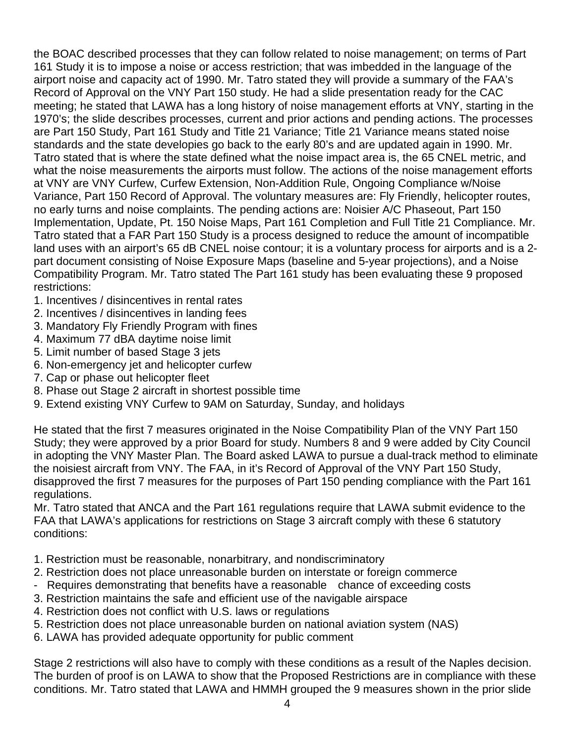the BOAC described processes that they can follow related to noise management; on terms of Part 161 Study it is to impose a noise or access restriction; that was imbedded in the language of the airport noise and capacity act of 1990. Mr. Tatro stated they will provide a summary of the FAA's Record of Approval on the VNY Part 150 study. He had a slide presentation ready for the CAC meeting; he stated that LAWA has a long history of noise management efforts at VNY, starting in the 1970's; the slide describes processes, current and prior actions and pending actions. The processes are Part 150 Study, Part 161 Study and Title 21 Variance; Title 21 Variance means stated noise standards and the state developies go back to the early 80's and are updated again in 1990. Mr. Tatro stated that is where the state defined what the noise impact area is, the 65 CNEL metric, and what the noise measurements the airports must follow. The actions of the noise management efforts at VNY are VNY Curfew, Curfew Extension, Non-Addition Rule, Ongoing Compliance w/Noise Variance, Part 150 Record of Approval. The voluntary measures are: Fly Friendly, helicopter routes, no early turns and noise complaints. The pending actions are: Noisier A/C Phaseout, Part 150 Implementation, Update, Pt. 150 Noise Maps, Part 161 Completion and Full Title 21 Compliance. Mr. Tatro stated that a FAR Part 150 Study is a process designed to reduce the amount of incompatible land uses with an airport's 65 dB CNEL noise contour; it is a voluntary process for airports and is a 2part document consisting of Noise Exposure Maps (baseline and 5-year projections), and a Noise Compatibility Program. Mr. Tatro stated The Part 161 study has been evaluating these 9 proposed restrictions:

- 1. Incentives / disincentives in rental rates
- 2. Incentives / disincentives in landing fees
- 3. Mandatory Fly Friendly Program with fines
- 4. Maximum 77 dBA daytime noise limit
- 5. Limit number of based Stage 3 jets
- 6. Non-emergency jet and helicopter curfew
- 7. Cap or phase out helicopter fleet
- 8. Phase out Stage 2 aircraft in shortest possible time
- 9. Extend existing VNY Curfew to 9AM on Saturday, Sunday, and holidays

He stated that the first 7 measures originated in the Noise Compatibility Plan of the VNY Part 150 Study; they were approved by a prior Board for study. Numbers 8 and 9 were added by City Council in adopting the VNY Master Plan. The Board asked LAWA to pursue a dual-track method to eliminate the noisiest aircraft from VNY. The FAA, in it's Record of Approval of the VNY Part 150 Study, disapproved the first 7 measures for the purposes of Part 150 pending compliance with the Part 161 regulations.

Mr. Tatro stated that ANCA and the Part 161 regulations require that LAWA submit evidence to the FAA that LAWA's applications for restrictions on Stage 3 aircraft comply with these 6 statutory conditions:

- 1. Restriction must be reasonable, nonarbitrary, and nondiscriminatory
- 2. Restriction does not place unreasonable burden on interstate or foreign commerce
- Requires demonstrating that benefits have a reasonable chance of exceeding costs
- 3. Restriction maintains the safe and efficient use of the navigable airspace
- 4. Restriction does not conflict with U.S. laws or regulations
- 5. Restriction does not place unreasonable burden on national aviation system (NAS)
- 6. LAWA has provided adequate opportunity for public comment

Stage 2 restrictions will also have to comply with these conditions as a result of the Naples decision. The burden of proof is on LAWA to show that the Proposed Restrictions are in compliance with these conditions. Mr. Tatro stated that LAWA and HMMH grouped the 9 measures shown in the prior slide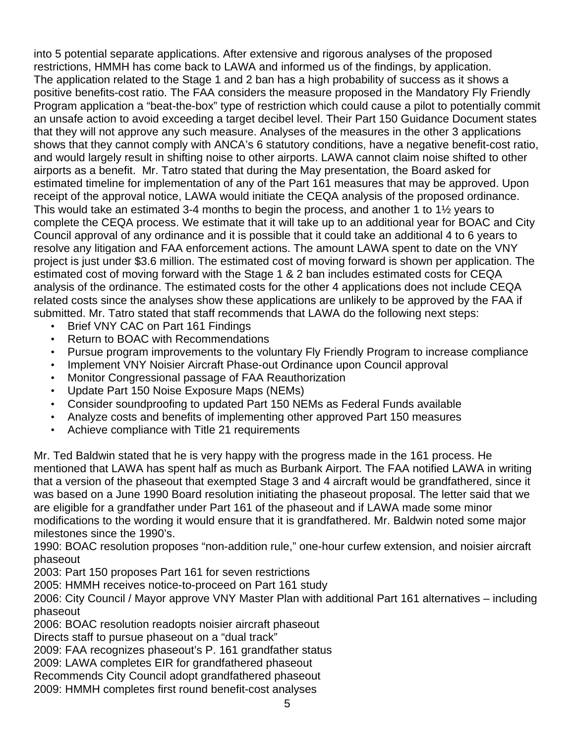into 5 potential separate applications. After extensive and rigorous analyses of the proposed restrictions, HMMH has come back to LAWA and informed us of the findings, by application. The application related to the Stage 1 and 2 ban has a high probability of success as it shows a positive benefits-cost ratio. The FAA considers the measure proposed in the Mandatory Fly Friendly Program application a "beat-the-box" type of restriction which could cause a pilot to potentially commit an unsafe action to avoid exceeding a target decibel level. Their Part 150 Guidance Document states that they will not approve any such measure. Analyses of the measures in the other 3 applications shows that they cannot comply with ANCA's 6 statutory conditions, have a negative benefit-cost ratio, and would largely result in shifting noise to other airports. LAWA cannot claim noise shifted to other airports as a benefit. Mr. Tatro stated that during the May presentation, the Board asked for estimated timeline for implementation of any of the Part 161 measures that may be approved. Upon receipt of the approval notice, LAWA would initiate the CEQA analysis of the proposed ordinance. This would take an estimated 3-4 months to begin the process, and another 1 to 1½ years to complete the CEQA process. We estimate that it will take up to an additional year for BOAC and City Council approval of any ordinance and it is possible that it could take an additional 4 to 6 years to resolve any litigation and FAA enforcement actions. The amount LAWA spent to date on the VNY project is just under \$3.6 million. The estimated cost of moving forward is shown per application. The estimated cost of moving forward with the Stage 1 & 2 ban includes estimated costs for CEQA analysis of the ordinance. The estimated costs for the other 4 applications does not include CEQA related costs since the analyses show these applications are unlikely to be approved by the FAA if submitted. Mr. Tatro stated that staff recommends that LAWA do the following next steps:

- Brief VNY CAC on Part 161 Findings
- Return to BOAC with Recommendations
- Pursue program improvements to the voluntary Fly Friendly Program to increase compliance
- Implement VNY Noisier Aircraft Phase-out Ordinance upon Council approval
- Monitor Congressional passage of FAA Reauthorization
- Update Part 150 Noise Exposure Maps (NEMs)
- Consider soundproofing to updated Part 150 NEMs as Federal Funds available
- Analyze costs and benefits of implementing other approved Part 150 measures
- Achieve compliance with Title 21 requirements

Mr. Ted Baldwin stated that he is very happy with the progress made in the 161 process. He mentioned that LAWA has spent half as much as Burbank Airport. The FAA notified LAWA in writing that a version of the phaseout that exempted Stage 3 and 4 aircraft would be grandfathered, since it was based on a June 1990 Board resolution initiating the phaseout proposal. The letter said that we are eligible for a grandfather under Part 161 of the phaseout and if LAWA made some minor modifications to the wording it would ensure that it is grandfathered. Mr. Baldwin noted some major milestones since the 1990's.

1990: BOAC resolution proposes "non-addition rule," one-hour curfew extension, and noisier aircraft phaseout

2003: Part 150 proposes Part 161 for seven restrictions

2005: HMMH receives notice-to-proceed on Part 161 study

2006: City Council / Mayor approve VNY Master Plan with additional Part 161 alternatives – including phaseout

2006: BOAC resolution readopts noisier aircraft phaseout

Directs staff to pursue phaseout on a "dual track"

2009: FAA recognizes phaseout's P. 161 grandfather status

2009: LAWA completes EIR for grandfathered phaseout

Recommends City Council adopt grandfathered phaseout

2009: HMMH completes first round benefit-cost analyses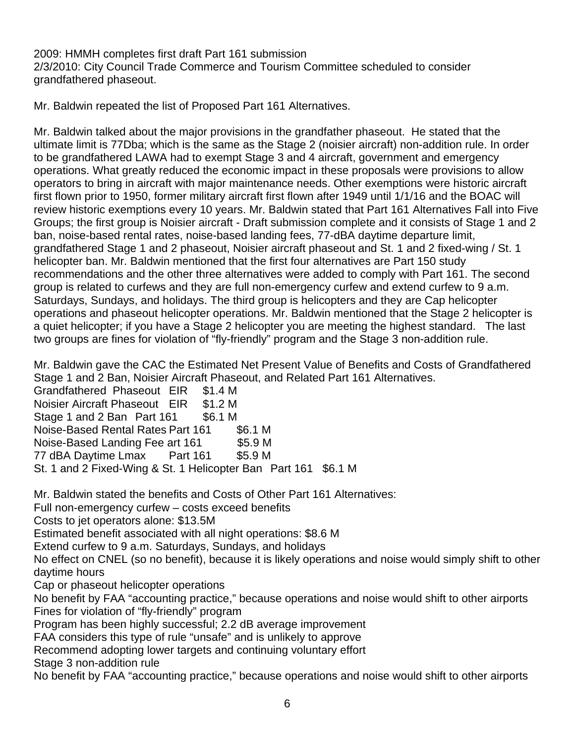2009: HMMH completes first draft Part 161 submission 2/3/2010: City Council Trade Commerce and Tourism Committee scheduled to consider grandfathered phaseout.

Mr. Baldwin repeated the list of Proposed Part 161 Alternatives.

Mr. Baldwin talked about the major provisions in the grandfather phaseout. He stated that the ultimate limit is 77Dba; which is the same as the Stage 2 (noisier aircraft) non-addition rule. In order to be grandfathered LAWA had to exempt Stage 3 and 4 aircraft, government and emergency operations. What greatly reduced the economic impact in these proposals were provisions to allow operators to bring in aircraft with major maintenance needs. Other exemptions were historic aircraft first flown prior to 1950, former military aircraft first flown after 1949 until 1/1/16 and the BOAC will review historic exemptions every 10 years. Mr. Baldwin stated that Part 161 Alternatives Fall into Five Groups; the first group is Noisier aircraft - Draft submission complete and it consists of Stage 1 and 2 ban, noise-based rental rates, noise-based landing fees, 77-dBA daytime departure limit, grandfathered Stage 1 and 2 phaseout, Noisier aircraft phaseout and St. 1 and 2 fixed-wing / St. 1 helicopter ban. Mr. Baldwin mentioned that the first four alternatives are Part 150 study recommendations and the other three alternatives were added to comply with Part 161. The second group is related to curfews and they are full non-emergency curfew and extend curfew to 9 a.m. Saturdays, Sundays, and holidays. The third group is helicopters and they are Cap helicopter operations and phaseout helicopter operations. Mr. Baldwin mentioned that the Stage 2 helicopter is a quiet helicopter; if you have a Stage 2 helicopter you are meeting the highest standard. The last two groups are fines for violation of "fly-friendly" program and the Stage 3 non-addition rule.

Mr. Baldwin gave the CAC the Estimated Net Present Value of Benefits and Costs of Grandfathered Stage 1 and 2 Ban, Noisier Aircraft Phaseout, and Related Part 161 Alternatives.

Grandfathered Phaseout EIR \$1.4 M Noisier Aircraft Phaseout EIR \$1.2 M Stage 1 and 2 Ban Part  $161$  \$6.1 M Noise-Based Rental Rates Part 161 \$6.1 M Noise-Based Landing Fee art 161 \$5.9 M 77 dBA Daytime Lmax Part 161 \$5.9 M St. 1 and 2 Fixed-Wing & St. 1 Helicopter Ban Part 161 \$6.1 M

Mr. Baldwin stated the benefits and Costs of Other Part 161 Alternatives:

Full non-emergency curfew – costs exceed benefits

Costs to jet operators alone: \$13.5M

Estimated benefit associated with all night operations: \$8.6 M

Extend curfew to 9 a.m. Saturdays, Sundays, and holidays

No effect on CNEL (so no benefit), because it is likely operations and noise would simply shift to other daytime hours

Cap or phaseout helicopter operations

No benefit by FAA "accounting practice," because operations and noise would shift to other airports Fines for violation of "fly-friendly" program

Program has been highly successful; 2.2 dB average improvement

FAA considers this type of rule "unsafe" and is unlikely to approve

Recommend adopting lower targets and continuing voluntary effort

Stage 3 non-addition rule

No benefit by FAA "accounting practice," because operations and noise would shift to other airports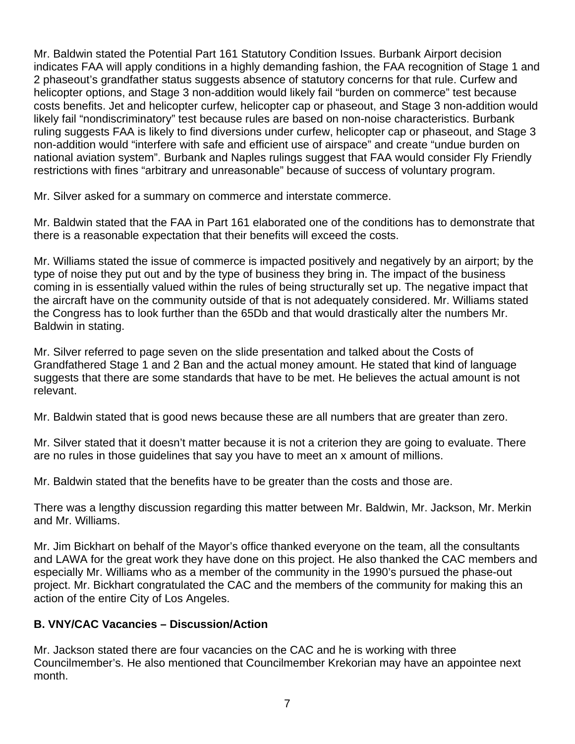Mr. Baldwin stated the Potential Part 161 Statutory Condition Issues. Burbank Airport decision indicates FAA will apply conditions in a highly demanding fashion, the FAA recognition of Stage 1 and 2 phaseout's grandfather status suggests absence of statutory concerns for that rule. Curfew and helicopter options, and Stage 3 non-addition would likely fail "burden on commerce" test because costs benefits. Jet and helicopter curfew, helicopter cap or phaseout, and Stage 3 non-addition would likely fail "nondiscriminatory" test because rules are based on non-noise characteristics. Burbank ruling suggests FAA is likely to find diversions under curfew, helicopter cap or phaseout, and Stage 3 non-addition would "interfere with safe and efficient use of airspace" and create "undue burden on national aviation system". Burbank and Naples rulings suggest that FAA would consider Fly Friendly restrictions with fines "arbitrary and unreasonable" because of success of voluntary program.

Mr. Silver asked for a summary on commerce and interstate commerce.

Mr. Baldwin stated that the FAA in Part 161 elaborated one of the conditions has to demonstrate that there is a reasonable expectation that their benefits will exceed the costs.

Mr. Williams stated the issue of commerce is impacted positively and negatively by an airport; by the type of noise they put out and by the type of business they bring in. The impact of the business coming in is essentially valued within the rules of being structurally set up. The negative impact that the aircraft have on the community outside of that is not adequately considered. Mr. Williams stated the Congress has to look further than the 65Db and that would drastically alter the numbers Mr. Baldwin in stating.

Mr. Silver referred to page seven on the slide presentation and talked about the Costs of Grandfathered Stage 1 and 2 Ban and the actual money amount. He stated that kind of language suggests that there are some standards that have to be met. He believes the actual amount is not relevant.

Mr. Baldwin stated that is good news because these are all numbers that are greater than zero.

Mr. Silver stated that it doesn't matter because it is not a criterion they are going to evaluate. There are no rules in those guidelines that say you have to meet an x amount of millions.

Mr. Baldwin stated that the benefits have to be greater than the costs and those are.

There was a lengthy discussion regarding this matter between Mr. Baldwin, Mr. Jackson, Mr. Merkin and Mr. Williams.

Mr. Jim Bickhart on behalf of the Mayor's office thanked everyone on the team, all the consultants and LAWA for the great work they have done on this project. He also thanked the CAC members and especially Mr. Williams who as a member of the community in the 1990's pursued the phase-out project. Mr. Bickhart congratulated the CAC and the members of the community for making this an action of the entire City of Los Angeles.

### **B. VNY/CAC Vacancies – Discussion/Action**

Mr. Jackson stated there are four vacancies on the CAC and he is working with three Councilmember's. He also mentioned that Councilmember Krekorian may have an appointee next month.